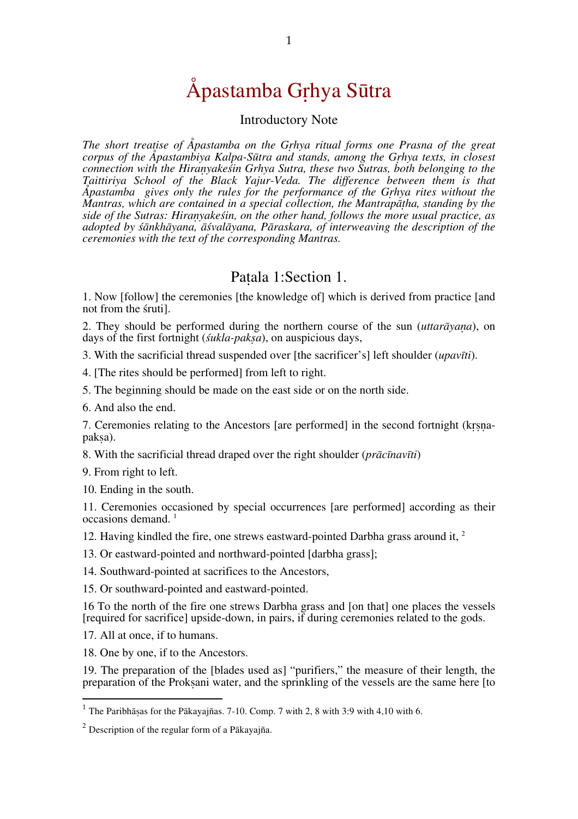# Åpastamba Gṛhya Sūtra

#### Introductory Note

*The short treatise of Åpastamba on the Gṛhya ritual forms one Prasna of the great corpus of the Åpastambiya Kalpa-Sūtra and stands, among the Gṛhya texts, in closest connection with the Hiraṇyakeśin Grhya Sutra, these two Sutras, both belonging to the*   $\AA$ *pastamba gives only the rules for the performance of the Grhya rites without the Mantras, which are contained in a special collection, the Mantrapatha, standing by the side of the Sutras: Hiraṇyakeśin, on the other hand, follows the more usual practice, as adopted by śānkhāyana, āśvalāyana, Pāraskara, of interweaving the description of the ceremonies with the text of the corresponding Mantras.* 

#### Paṭala 1:Section 1.

1. Now [follow] the ceremonies [the knowledge of] which is derived from practice [and not from the śruti].

2. They should be performed during the northern course of the sun (*uttarāyaṇa*), on days of the first fortnight (*śukla-pakṣa*), on auspicious days,

3. With the sacrificial thread suspended over [the sacrificer's] left shoulder (*upavīti*).

4. [The rites should be performed] from left to right.

5. The beginning should be made on the east side or on the north side.

6. And also the end.

7. Ceremonies relating to the Ancestors [are performed] in the second fortnight (krsna-paksa).

8. With the sacrificial thread draped over the right shoulder (*prācīnavīti*)

9. From right to left.

10. Ending in the south.

11. Ceremonies occasioned by special occurrences [are performed] according as their  $occasions$  demand.<sup>1</sup>

12. Having kindled the fire, one strews eastward-pointed Darbha grass around it, 2

13. Or eastward-pointed and northward-pointed [darbha grass];

14. Southward-pointed at sacrifices to the Ancestors,

15. Or southward-pointed and eastward-pointed.

16 To the north of the fire one strews Darbha grass and [on that] one places the vessels [required for sacrifice] upside-down, in pairs, if during ceremonies related to the gods.

17. All at once, if to humans.

18. One by one, if to the Ancestors.

19. The preparation of the [blades used as] "purifiers," the measure of their length, the preparation of the Prokṣani water, and the sprinkling of the vessels are the same here [to

<sup>&</sup>lt;sup>1</sup> The Paribhāṣas for the Pākayajñas. 7-10. Comp. 7 with 2, 8 with 3:9 with 4,10 with 6.

 $^{2}$  Description of the regular form of a Pākayajña.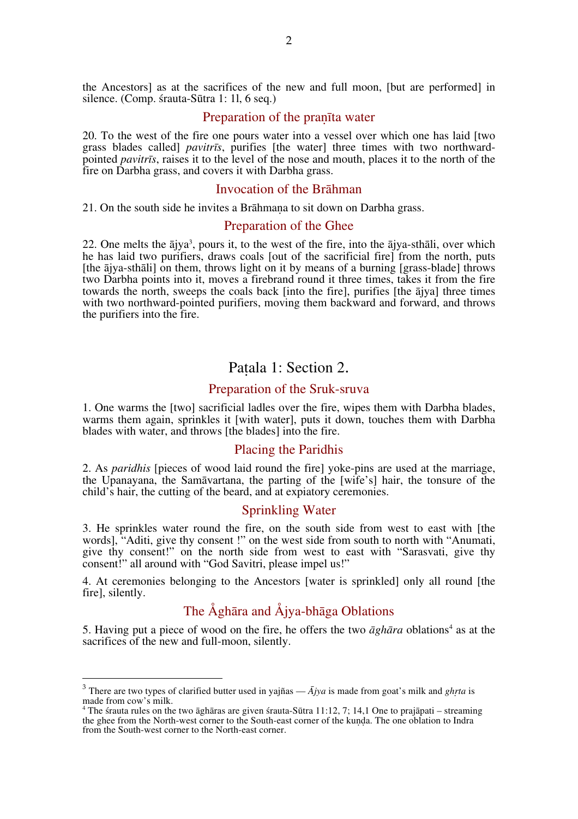the Ancestors] as at the sacrifices of the new and full moon, [but are performed] in silence. (Comp. śrauta-Sūtra 1: 1l, 6 seq.)

#### Preparation of the praṇīta water

20. To the west of the fire one pours water into a vessel over which one has laid [two grass blades called] *pavitrīs*, purifies [the water] three times with two northwardpointed *pavitrīs*, raises it to the level of the nose and mouth, places it to the north of the fire on Darbha grass, and covers it with Darbha grass.

#### Invocation of the Brāhman

21. On the south side he invites a Brāhmaṇa to sit down on Darbha grass.

#### Preparation of the Ghee

22. One melts the ājya<sup>3</sup>, pours it, to the west of the fire, into the ājya-sthāli, over which he has laid two purifiers, draws coals fout of the sacrificial fire] from the north, puts [the ājya-sthāli] on them, throws light on it by means of a burning [grass-blade] throws two Darbha points into it, moves a firebrand round it three times, takes it from the fire towards the north, sweeps the coals back [into the fire], purifies [the ājya] three times with two northward-pointed purifiers, moving them backward and forward, and throws the purifiers into the fire.

#### Paṭala 1: Section 2.

#### Preparation of the Sruk-sruva

1. One warms the [two] sacrificial ladles over the fire, wipes them with Darbha blades, warms them again, sprinkles it [with water], puts it down, touches them with Darbha blades with water, and throws [the blades] into the fire.

#### Placing the Paridhis

2. As *paridhis* [pieces of wood laid round the fire] yoke-pins are used at the marriage, the Upanayana, the Samāvartana, the parting of the [wife's] hair, the tonsure of the child's hair, the cutting of the beard, and at expiatory ceremonies.

#### Sprinkling Water

3. He sprinkles water round the fire, on the south side from west to east with [the words], "Aditi, give thy consent !" on the west side from south to north with "Anumati, give thy consent!" on the north side from west to east with "Sarasvati, give thy consent!" all around with "God Savitri, please impel us!"

4. At ceremonies belonging to the Ancestors [water is sprinkled] only all round [the fire], silently.

## The Åghāra and Åjya-bhāga Oblations

5. Having put a piece of wood on the fire, he offers the two  $\bar{a}$ *gh* $\bar{a}$ *ra* oblations<sup>4</sup> as at the sacrifices of the new and full-moon, silently.

 <sup>3</sup> There are two types of clarified butter used in yajñas — *<sup>Ā</sup>jya* is made from goat's milk and *ghṛta* is made from cow's milk.

<sup>4</sup> The śrauta rules on the two āghāras are given śrauta-Sūtra 11:12, 7; 14,1 One to prajāpati – streaming the ghee from the North-west corner to the South-east corner of the kunda. The one oblation to Indra from the South-west corner to the North-east corner.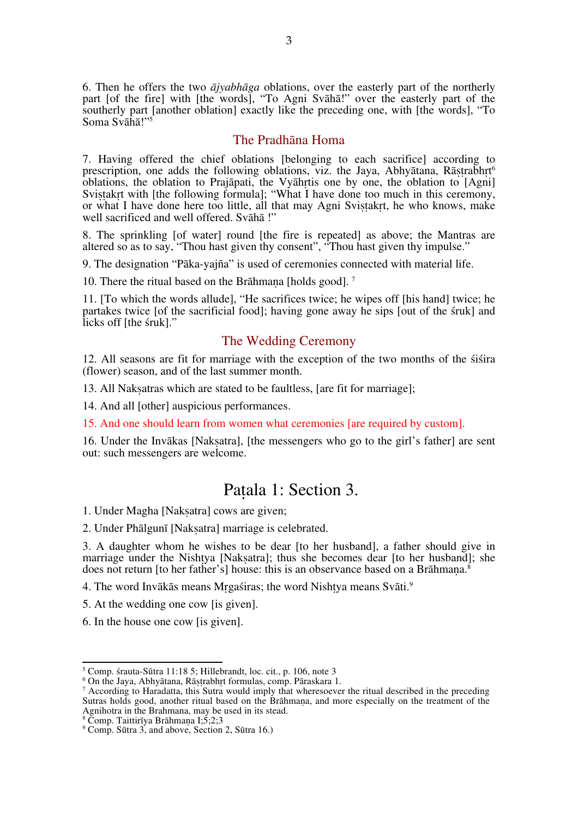6. Then he offers the two *ājyabhāga* oblations, over the easterly part of the northerly part [of the fire] with [the words], "To Agni Svāhā!" over the easterly part of the southerly part [another oblation] exactly like the preceding one, with [the words], "To Soma Svāhā!"

#### The Pradhāna Homa

7. Having offered the chief oblations [belonging to each sacrifice] according to prescription, one adds the following oblations, viz. the Jaya, Abhyātana, Rāṣṭrabhṛt 6 oblations, the oblation to Prajāpati, the Vyāhṛtis one by one, the oblation to [Agni] Sviṣṭakṛt with [the following formula]; "What I have done too much in this ceremony, or what I have done here too little, all that may Agni Sviṣṭakṛt, he who knows, make well sacrificed and well offered. Svāhā !"

8. The sprinkling [of water] round [the fire is repeated] as above; the Mantras are altered so as to say, "Thou hast given thy consent", "Thou hast given thy impulse."

9. The designation "Pāka-yajña" is used of ceremonies connected with material life.

10. There the ritual based on the Brāhmana [holds good].<sup>7</sup>

11. [To which the words allude], "He sacrifices twice; he wipes off [his hand] twice; he partakes twice [of the sacrificial food]; having gone away he sips [out of the śruk] and licks off [the śruk]."

#### The Wedding Ceremony

12. All seasons are fit for marriage with the exception of the two months of the śiśira (flower) season, and of the last summer month.

13. All Nakṣatras which are stated to be faultless, [are fit for marriage];

14. And all [other] auspicious performances.

15. And one should learn from women what ceremonies [are required by custom].

16. Under the Invākas [Naksatra], [the messengers who go to the girl's father] are sent out: such messengers are welcome.

## Paṭala 1: Section 3.

1. Under Magha [Nakṣatra] cows are given;

2. Under Phālgunī [Nakṣatra] marriage is celebrated.

3. A daughter whom he wishes to be dear [to her husband], a father should give in marriage under the Nishtya [Nakṣatra]; thus she becomes dear [to her husband]; she does not return [to her father's] house: this is an observance based on a Brāhmana.<sup>8</sup>

4. The word Invākās means Mrgaśiras; the word Nishtya means Svāti.<sup>9</sup>

5. At the wedding one cow [is given].

6. In the house one cow [is given].

5 <sup>5</sup> Comp. śrauta-Sūtra 11:18 5; Hillebrandt, loc. cit., p. 106, note 3  $\,^6$  On the Jaya, Abhyātana, Rāṣṭrabhṛt formulas, comp. Pāraskara 1.

 $^7$  According to Haradatta, this Sutra would imply that wheresoever the ritual described in the preceding Sutras holds good, another ritual based on the Brāhmana, and more especially on the treatment of the Agnihotra in the Brahmana, may be used in its stead.<br><sup>8</sup> Comp. Taittirīya Brāhmaṇa I;5;2;3<br><sup>9</sup> Comp. Sūtra 3, and above. Section 2, Sūtra 16.)

<sup>&</sup>lt;sup>9</sup> Comp. Sūtra 3, and above, Section 2, Sūtra 16.)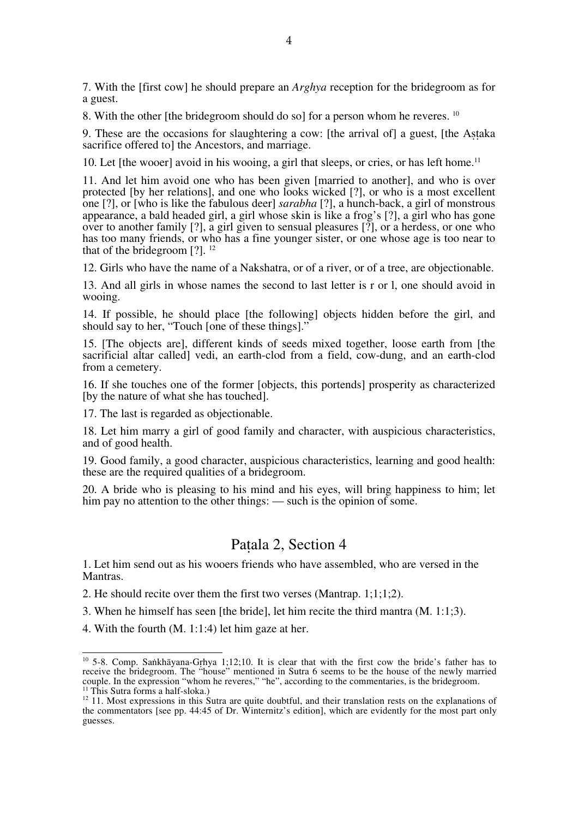7. With the [first cow] he should prepare an *Arghya* reception for the bridegroom as for a guest.

8. With the other [the bridegroom should do so] for a person whom he reveres. <sup>10</sup>

9. These are the occasions for slaughtering a cow: [the arrival of] a guest, [the Aṣṭaka sacrifice offered tol the Ancestors, and marriage.

10. Let [the wooer] avoid in his wooing, a girl that sleeps, or cries, or has left home.<sup>11</sup>

11. And let him avoid one who has been given [married to another], and who is over protected [by her relations], and one who looks wicked [?], or who is a most excellent one [?], or [who is like the fabulous deer] *sarabha* [?], a hunch-back, a girl of monstrous appearance, a bald headed girl, a girl whose skin is like a frog's [?], a girl who has gone over to another family [?], a girl given to sensual pleasures [?], or a herdess, or one who has too many friends, or who has a fine younger sister, or one whose age is too near to that of the bridegroom  $[?]$ . <sup>12</sup>

12. Girls who have the name of a Nakshatra, or of a river, or of a tree, are objectionable.

13. And all girls in whose names the second to last letter is r or l, one should avoid in wooing.

14. If possible, he should place [the following] objects hidden before the girl, and should say to her, "Touch [one of these things]."

15. [The objects are], different kinds of seeds mixed together, loose earth from [the sacrificial altar called] vedi, an earth-clod from a field, cow-dung, and an earth-clod from a cemetery.

16. If she touches one of the former [objects, this portends] prosperity as characterized [by the nature of what she has touched].

17. The last is regarded as objectionable.

18. Let him marry a girl of good family and character, with auspicious characteristics, and of good health.

19. Good family, a good character, auspicious characteristics, learning and good health: these are the required qualities of a bridegroom.

20. A bride who is pleasing to his mind and his eyes, will bring happiness to him; let him pay no attention to the other things: — such is the opinion of some.

#### Paṭala 2, Section 4

1. Let him send out as his wooers friends who have assembled, who are versed in the Mantras.

2. He should recite over them the first two verses (Mantrap. 1;1;1;2).

3. When he himself has seen [the bride], let him recite the third mantra (M. 1:1;3).

4. With the fourth (M. 1:1:4) let him gaze at her.

10 5-8. Comp. Saṅkhāyana-Gṛhya 1;12;10. It is clear that with the first cow the bride's father has to receive the bridegroom. The "house" mentioned in Sutra 6 seems to be the house of the newly married couple. In the expression "whom he reveres," "he", according to the commentaries, is the bridegroom.<br><sup>11</sup> This Sutra forms a half-sloka.)

 $12$  11. Most expressions in this Sutra are quite doubtful, and their translation rests on the explanations of the commentators [see pp. 44:45 of Dr. Winternitz's edition], which are evidently for the most part only guesses.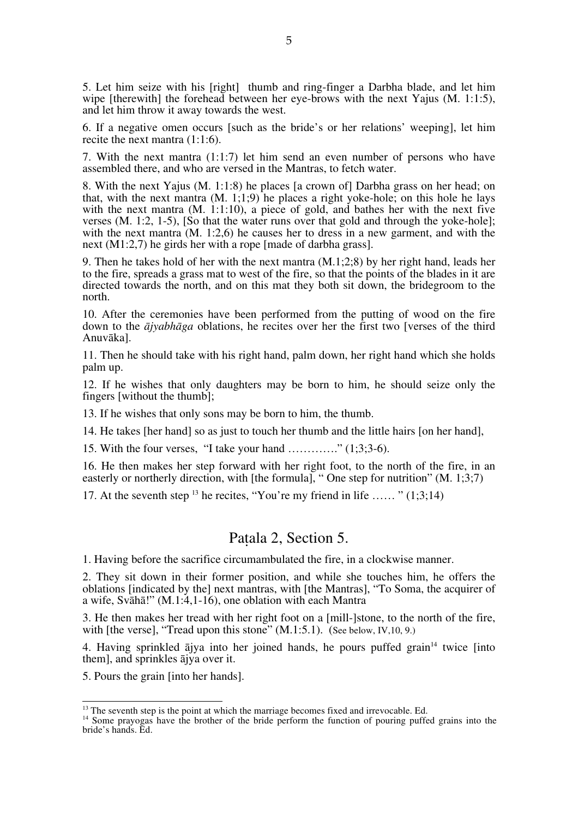5. Let him seize with his [right] thumb and ring-finger a Darbha blade, and let him wipe [therewith] the forehead between her eye-brows with the next Yajus (M. 1:1:5), and let him throw it away towards the west.

6. If a negative omen occurs [such as the bride's or her relations' weeping], let him recite the next mantra (1:1:6).

7. With the next mantra (1:1:7) let him send an even number of persons who have assembled there, and who are versed in the Mantras, to fetch water.

8. With the next Yajus (M. 1:1:8) he places [a crown of] Darbha grass on her head; on that, with the next mantra  $(M, 1, 1, 9)$  he places a right yoke-hole; on this hole he lays with the next mantra  $(M, 1:1:10)$ , a piece of gold, and bathes her with the next five verses (M. 1:2, 1-5), [So that the water runs over that gold and through the yoke-hole]; with the next mantra  $(M, 1:2.6)$  he causes her to dress in a new garment, and with the next (M1:2,7) he girds her with a rope [made of darbha grass].

9. Then he takes hold of her with the next mantra (M.1;2;8) by her right hand, leads her to the fire, spreads a grass mat to west of the fire, so that the points of the blades in it are directed towards the north, and on this mat they both sit down, the bridegroom to the north.

10. After the ceremonies have been performed from the putting of wood on the fire down to the *ājyabhāga* oblations, he recites over her the first two [verses of the third Anuvāka].

11. Then he should take with his right hand, palm down, her right hand which she holds palm up.

12. If he wishes that only daughters may be born to him, he should seize only the fingers [without the thumb];

13. If he wishes that only sons may be born to him, the thumb.

14. He takes [her hand] so as just to touch her thumb and the little hairs [on her hand],

15. With the four verses, "I take your hand …………." (1;3;3-6).

16. He then makes her step forward with her right foot, to the north of the fire, in an easterly or northerly direction, with [the formula], "One step for nutrition" (M, 1:3:7)

17. At the seventh step  $^{13}$  he recites, "You're my friend in life …… "  $(1,3,14)$ 

#### Paṭala 2, Section 5.

1. Having before the sacrifice circumambulated the fire, in a clockwise manner.

2. They sit down in their former position, and while she touches him, he offers the oblations [indicated by the] next mantras, with [the Mantras], "To Soma, the acquirer of a wife, Svāhā!" (M.1:4,1-16), one oblation with each Mantra

3. He then makes her tread with her right foot on a [mill-]stone, to the north of the fire, with [the verse], "Tread upon this stone"  $(M.1:5.1)$ . (See below, IV, 10, 9.)

4. Having sprinkled ājya into her joined hands, he pours puffed grain<sup>14</sup> twice [into them], and sprinkles ājya over it.

5. Pours the grain [into her hands].

<sup>&</sup>lt;sup>13</sup> The seventh step is the point at which the marriage becomes fixed and irrevocable. Ed.  $14$  Some prayogas have the brother of the bride perform the function of pouring puffed grains into the bride's hands. Ed.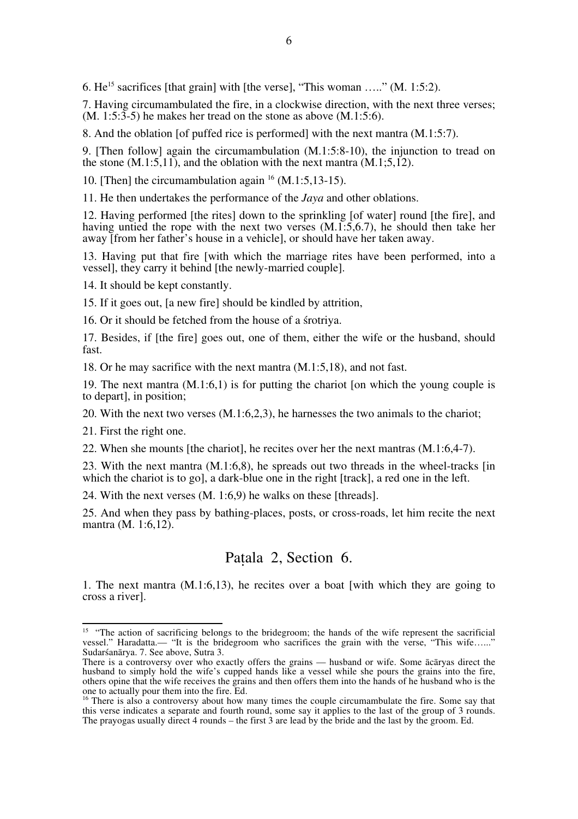6.  $He^{15}$  sacrifices [that grain] with [the verse], "This woman ....." (M, 1:5:2).

7. Having circumambulated the fire, in a clockwise direction, with the next three verses;  $(M. 1:5:3-5)$  he makes her tread on the stone as above  $(M.1:5:6)$ .

8. And the oblation [of puffed rice is performed] with the next mantra (M.1:5:7).

9. [Then follow] again the circumambulation (M.1:5:8-10), the injunction to tread on the stone  $(M.1:5,11)$ , and the oblation with the next mantra  $(M.1:5,12)$ .

10. [Then] the circumambulation again  $^{16}$  (M.1:5,13-15).

11. He then undertakes the performance of the *Jaya* and other oblations.

12. Having performed [the rites] down to the sprinkling [of water] round [the fire], and having untied the rope with the next two verses (M.1:5,6.7), he should then take her away [from her father's house in a vehicle], or should have her taken away.

13. Having put that fire [with which the marriage rites have been performed, into a vessel], they carry it behind [the newly-married couple].

14. It should be kept constantly.

15. If it goes out, [a new fire] should be kindled by attrition,

16. Or it should be fetched from the house of a śrotriya.

17. Besides, if [the fire] goes out, one of them, either the wife or the husband, should fast.

18. Or he may sacrifice with the next mantra (M.1:5,18), and not fast.

19. The next mantra  $(M, 1:6, 1)$  is for putting the chariot [on which the young couple is to depart], in position;

20. With the next two verses (M.1:6,2,3), he harnesses the two animals to the chariot;

21. First the right one.

22. When she mounts [the chariot], he recites over her the next mantras (M.1:6,4-7).

23. With the next mantra (M.1:6,8), he spreads out two threads in the wheel-tracks [in which the chariot is to go], a dark-blue one in the right [track], a red one in the left.

24. With the next verses (M. 1:6,9) he walks on these [threads].

25. And when they pass by bathing-places, posts, or cross-roads, let him recite the next mantra (M. 1:6.12).

#### Paṭala 2, Section 6.

1. The next mantra (M.1:6,13), he recites over a boat [with which they are going to cross a river].

<sup>&</sup>lt;sup>15</sup> "The action of sacrificing belongs to the bridegroom; the hands of the wife represent the sacrificial vessel." Haradatta.— "It is the bridegroom who sacrifices the grain with the verse, "This wife…..." Sudarśanārya. 7. See above, Sutra 3.

There is a controversy over who exactly offers the grains — husband or wife. Some ācāryas direct the husband to simply hold the wife's cupped hands like a vessel while she pours the grains into the fire, others opine that the wife receives the grains and then offers them into the hands of he husband who is the one to actually pour them into the fire. Ed.

<sup>&</sup>lt;sup>16</sup> There is also a controversy about how many times the couple circumambulate the fire. Some say that this verse indicates a separate and fourth round, some say it applies to the last of the group of 3 rounds. The prayogas usually direct 4 rounds – the first 3 are lead by the bride and the last by the groom. Ed.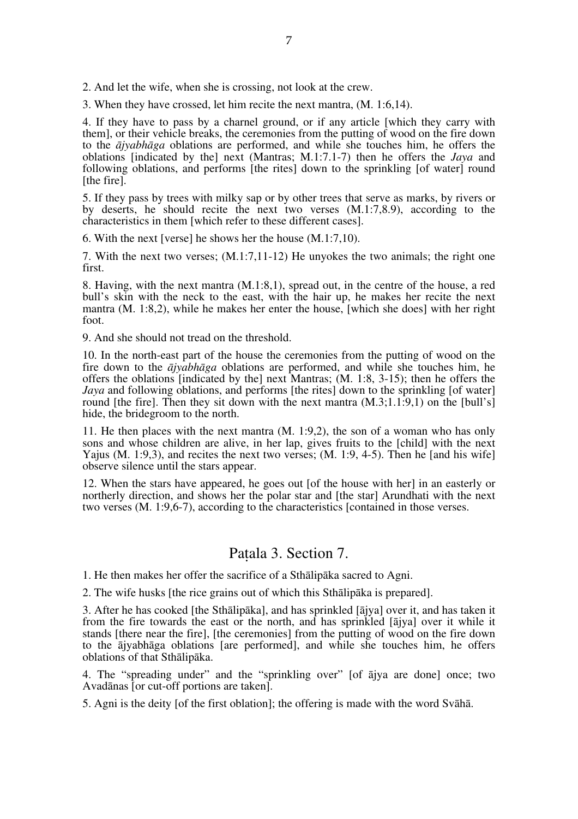2. And let the wife, when she is crossing, not look at the crew.

3. When they have crossed, let him recite the next mantra, (M. 1:6,14).

4. If they have to pass by a charnel ground, or if any article [which they carry with them], or their vehicle breaks, the ceremonies from the putting of wood on the fire down to the *ājyabhāga* oblations are performed, and while she touches him, he offers the oblations [indicated by the] next (Mantras; M.1:7.1-7) then he offers the *Jaya* and following oblations, and performs [the rites] down to the sprinkling [of water] round [the fire].

5. If they pass by trees with milky sap or by other trees that serve as marks, by rivers or by deserts, he should recite the next two verses (M.1:7,8.9), according to the characteristics in them [which refer to these different cases].

6. With the next [verse] he shows her the house (M.1:7,10).

7. With the next two verses; (M.1:7,11-12) He unyokes the two animals; the right one first.

8. Having, with the next mantra (M.1:8,1), spread out, in the centre of the house, a red bull's skin with the neck to the east, with the hair up, he makes her recite the next mantra (M. 1:8,2), while he makes her enter the house, [which she does] with her right foot.

9. And she should not tread on the threshold.

10. In the north-east part of the house the ceremonies from the putting of wood on the fire down to the *ājyabhāga* oblations are performed, and while she touches him, he offers the oblations [indicated by the] next Mantras; (M. 1:8, 3-15); then he offers the *Jaya* and following oblations, and performs [the rites] down to the sprinkling [of water] round [the fire]. Then they sit down with the next mantra  $(M.3;1.1;9,1)$  on the [bull's] hide, the bridegroom to the north.

11. He then places with the next mantra (M. 1:9,2), the son of a woman who has only sons and whose children are alive, in her lap, gives fruits to the [child] with the next Yajus (M. 1:9,3), and recites the next two verses; (M. 1:9, 4-5). Then he [and his wife] observe silence until the stars appear.

12. When the stars have appeared, he goes out [of the house with her] in an easterly or northerly direction, and shows her the polar star and [the star] Arundhati with the next two verses (M. 1:9,6-7), according to the characteristics [contained in those verses.

#### Paṭala 3. Section 7.

1. He then makes her offer the sacrifice of a Sthālipāka sacred to Agni.

2. The wife husks [the rice grains out of which this Sthālipāka is prepared].

3. After he has cooked [the Sthālipāka], and has sprinkled [ājya] over it, and has taken it from the fire towards the east or the north, and has sprinkled [ājya] over it while it stands [there near the fire], [the ceremonies] from the putting of wood on the fire down to the ājyabhāga oblations [are performed], and while she touches him, he offers oblations of that Sthālipāka.

4. The "spreading under" and the "sprinkling over" [of ājya are done] once; two Avadānas [or cut-off portions are taken].

5. Agni is the deity [of the first oblation]; the offering is made with the word Svāhā.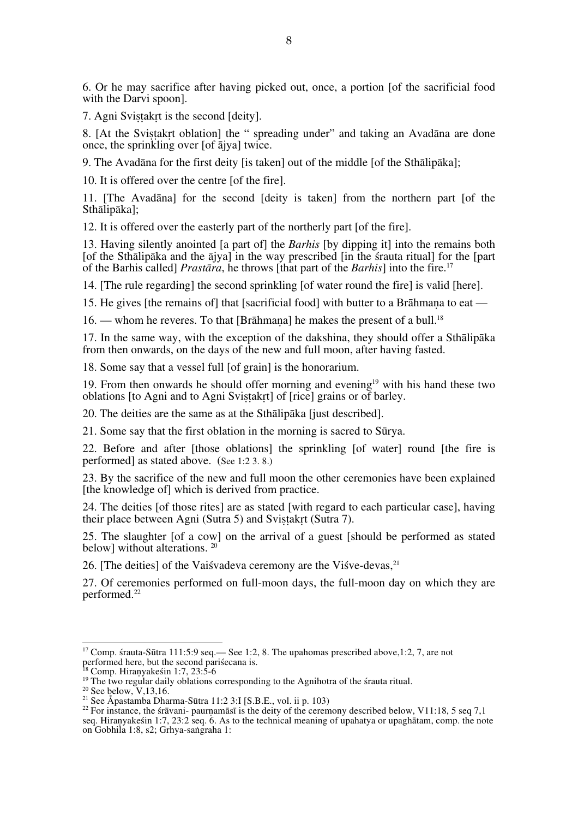6. Or he may sacrifice after having picked out, once, a portion [of the sacrificial food with the Darvi spoon].

7. Agni Svistakrt is the second [deity].

8. [At the Svistakrt oblation] the " spreading under" and taking an Avadāna are done once, the sprinkling over [of ājya] twice.

9. The Avadāna for the first deity [is taken] out of the middle [of the Sthālipāka];

10. It is offered over the centre [of the fire].

11. [The Avadāna] for the second [deity is taken] from the northern part [of the Sthālipāka];

12. It is offered over the easterly part of the northerly part [of the fire].

13. Having silently anointed [a part of] the *Barhis* [by dipping it] into the remains both [of the Sthālipāka and the ājya] in the way prescribed [in the śrauta ritual] for the [part of the Barhis called] *Prastāra*, he throws [that part of the *Barhis*] into the fire. 17

14. [The rule regarding] the second sprinkling [of water round the fire] is valid [here].

15. He gives [the remains of] that [sacrificial food] with butter to a Brāhmana to eat —

16. — whom he reveres. To that [Brāhmaṇa] he makes the present of a bull. 18

17. In the same way, with the exception of the dakshina, they should offer a Sthālipāka from then onwards, on the days of the new and full moon, after having fasted.

18. Some say that a vessel full [of grain] is the honorarium.

19. From then onwards he should offer morning and evening<sup>19</sup> with his hand these two oblations [to Agni and to Agni Svistakrt] of [rice] grains or of barley.

20. The deities are the same as at the Sthālipāka [just described].

21. Some say that the first oblation in the morning is sacred to Sūrya.

22. Before and after [those oblations] the sprinkling [of water] round [the fire is performed] as stated above. (See 1:2 3. 8.)

23. By the sacrifice of the new and full moon the other ceremonies have been explained [the knowledge of] which is derived from practice.

24. The deities [of those rites] are as stated [with regard to each particular case], having their place between Agni (Sutra 5) and Svistakrt (Sutra 7).

25. The slaughter [of a cow] on the arrival of a guest [should be performed as stated below] without alterations. 20

26. [The deities] of the Vaisvadeva ceremony are the Visve-devas.<sup>21</sup>

27. Of ceremonies performed on full-moon days, the full-moon day on which they are performed.22

17 Comp. śrauta-Sūtra 111:5:9 seq.— See 1:2, 8. The upahomas prescribed above,1:2, 7, are not

<sup>&</sup>lt;sup>18</sup> Comp. Hiranyakesin 1:7, 23:5-6<br><sup>18</sup> Comp. Hiranyakesin 1:7, 23:5-6<br><sup>19</sup> The two regular daily oblations corresponding to the Agnihotra of the strauta ritual.<br><sup>20</sup> See below, V,13,16.<br><sup>21</sup> See Apastamba Dharma-Sūtra 11 seq. Hiraṇyakeśin 1:7, 23:2 seq. 6. As to the technical meaning of upahatya or upaghātam, comp. the note on Gobhila 1:8, s2; Grhya-saṅgraha 1: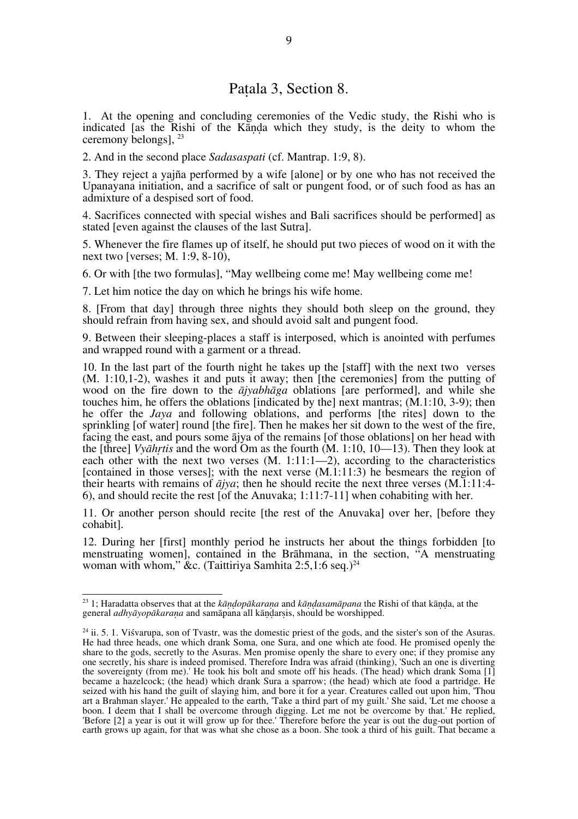### Paṭala 3, Section 8.

1. At the opening and concluding ceremonies of the Vedic study, the Rishi who is indicated [as the Rishi of the Kāṇḍa which they study, is the deity to whom the ceremony belongs], 23

2. And in the second place *Sadasaspati* (cf. Mantrap. 1:9, 8).

3. They reject a yajña performed by a wife [alone] or by one who has not received the Upanayana initiation, and a sacrifice of salt or pungent food, or of such food as has an admixture of a despised sort of food.

4. Sacrifices connected with special wishes and Bali sacrifices should be performed] as stated [even against the clauses of the last Sutra].

5. Whenever the fire flames up of itself, he should put two pieces of wood on it with the next two [verses; M. 1:9, 8-10),

6. Or with [the two formulas], "May wellbeing come me! May wellbeing come me!

7. Let him notice the day on which he brings his wife home.

8. [From that day] through three nights they should both sleep on the ground, they should refrain from having sex, and should avoid salt and pungent food.

9. Between their sleeping-places a staff is interposed, which is anointed with perfumes and wrapped round with a garment or a thread.

10. In the last part of the fourth night he takes up the [staff] with the next two verses (M. 1:10,1-2), washes it and puts it away; then [the ceremonies] from the putting of wood on the fire down to the *ājyabhāga* oblations [are performed], and while she touches him, he offers the oblations [indicated by the] next mantras; (M.1:10, 3-9); then he offer the *Jaya* and following oblations, and performs [the rites] down to the sprinkling [of water] round [the fire]. Then he makes her sit down to the west of the fire, facing the east, and pours some ājya of the remains [of those oblations] on her head with the [three] *Vyāhṛtis* and the word Om as the fourth (M. 1:10, 10—13). Then they look at each other with the next two verses  $(M, 1:11:1-2)$ , according to the characteristics [contained in those verses]; with the next verse  $(M.1:11:3)$  he besmears the region of their hearts with remains of *ājya*; then he should recite the next three verses (M.1:11:4- 6), and should recite the rest [of the Anuvaka; 1:11:7-11] when cohabiting with her.

11. Or another person should recite [the rest of the Anuvaka] over her, [before they cohabit].

12. During her [first] monthly period he instructs her about the things forbidden [to menstruating women], contained in the Brāhmana, in the section, "A menstruating woman with whom," &c. (Taittiriya Samhita 2:5,1:6 seq.)<sup>24</sup>

23 1; Haradatta observes that at the *kāṇḍopākaraṇa* and *kāṇḍasamāpana* the Rishi of that kāṇḍa, at the general *adhyāyopākaraṇa* and samāpana all kāṇḍarṣis, should be worshipped.

 $24$  ii. 5. 1. Visvarupa, son of Tvastr, was the domestic priest of the gods, and the sister's son of the Asuras. He had three heads, one which drank Soma, one Sura, and one which ate food. He promised openly the share to the gods, secretly to the Asuras. Men promise openly the share to every one; if they promise any one secretly, his share is indeed promised. Therefore Indra was afraid (thinking), 'Such an one is diverting the sovereignty (from me).' He took his bolt and smote off his heads. (The head) which drank Soma [1] became a hazelcock; (the head) which drank Sura a sparrow; (the head) which ate food a partridge. He seized with his hand the guilt of slaying him, and bore it for a year. Creatures called out upon him, 'Thou art a Brahman slayer.' He appealed to the earth, 'Take a third part of my guilt.' She said, 'Let me choose a boon. I deem that I shall be overcome through digging. Let me not be overcome by that.' He replied, 'Before [2] a year is out it will grow up for thee.' Therefore before the year is out the dug-out portion of earth grows up again, for that was what she chose as a boon. She took a third of his guilt. That became a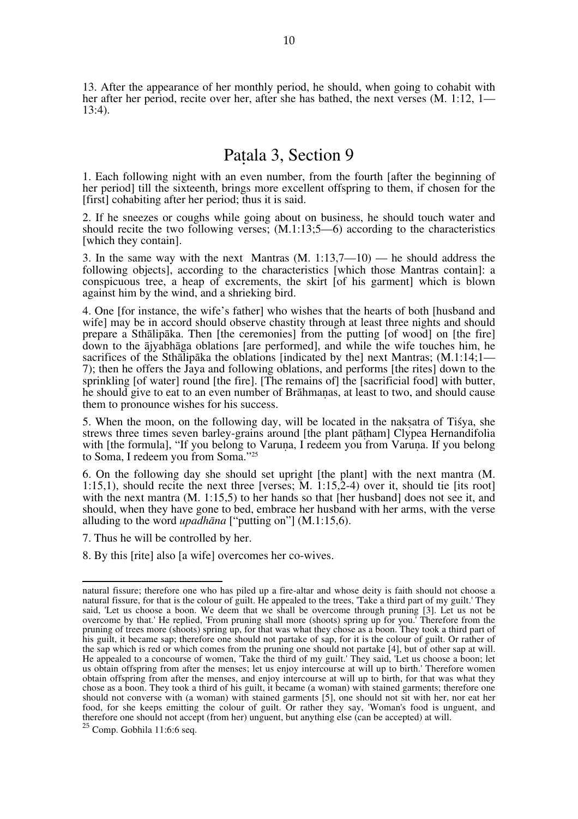13. After the appearance of her monthly period, he should, when going to cohabit with her after her period, recite over her, after she has bathed, the next verses (M. 1:12, 1—13:4).

## Paṭala 3, Section 9

1. Each following night with an even number, from the fourth [after the beginning of her period] till the sixteenth, brings more excellent offspring to them, if chosen for the [first] cohabiting after her period; thus it is said.

2. If he sneezes or coughs while going about on business, he should touch water and should recite the two following verses;  $(M.1:13:5-6)$  according to the characteristics [which they contain].

3. In the same way with the next Mantras (M. 1:13,7—10) — he should address the following objects], according to the characteristics [which those Mantras contain]: a conspicuous tree, a heap of excrements, the skirt [of his garment] which is blown against him by the wind, and a shrieking bird.

4. One [for instance, the wife's father] who wishes that the hearts of both [husband and wife] may be in accord should observe chastity through at least three nights and should prepare a Sthālipāka. Then [the ceremonies] from the putting [of wood] on [the fire] down to the ājyabhāga oblations [are performed], and while the wife touches him, he sacrifices of the Sthalipaka the oblations [indicated by the] next Mantras; (M.1:14;1— 7); then he offers the Jaya and following oblations, and performs [the rites] down to the sprinkling [of water] round [the fire]. [The remains of] the [sacrificial food] with butter, he should give to eat to an even number of Brāhmaṇas, at least to two, and should cause them to pronounce wishes for his success.

5. When the moon, on the following day, will be located in the nakṣatra of Tiśya, she strews three times seven barley-grains around [the plant pāṭham] Clypea Hernandifolia with [the formula], "If you belong to Varuna, I redeem you from Varuna. If you belong to Soma, I redeem you from Soma."25

6. On the following day she should set upright [the plant] with the next mantra (M. 1:15,1), should recite the next three [verses; M. 1:15,2-4) over it, should tie [its root] with the next mantra (M. 1:15,5) to her hands so that [her husband] does not see it, and should, when they have gone to bed, embrace her husband with her arms, with the verse alluding to the word *upadhāna* ["putting on"] (M.1:15,6).

7. Thus he will be controlled by her.

8. By this [rite] also [a wife] overcomes her co-wives.

 $\overline{a}$ natural fissure; therefore one who has piled up a fire-altar and whose deity is faith should not choose a natural fissure, for that is the colour of guilt. He appealed to the trees, 'Take a third part of my guilt.' They said, 'Let us choose a boon. We deem that we shall be overcome through pruning [3]. Let us not be overcome by that.' He replied, 'From pruning shall more (shoots) spring up for you.' Therefore from the pruning of trees more (shoots) spring up, for that was what they chose as a boon. They took a third part of his guilt, it became sap; therefore one should not partake of sap, for it is the colour of guilt. Or rather of the sap which is red or which comes from the pruning one should not partake [4], but of other sap at will. He appealed to a concourse of women, 'Take the third of my guilt.' They said, 'Let us choose a boon; let us obtain offspring from after the menses; let us enjoy intercourse at will up to birth.' Therefore women obtain offspring from after the menses, and enjoy intercourse at will up to birth, for that was what they chose as a boon. They took a third of his guilt, it became (a woman) with stained garments; therefore one should not converse with (a woman) with stained garments [5], one should not sit with her, nor eat her food, for she keeps emitting the colour of guilt. Or rather they say, 'Woman's food is unguent, and therefore one should not accept (from her) unguent, but anything else (can be accepted) at will.

 $25$  Comp. Gobhila 11:6:6 seq.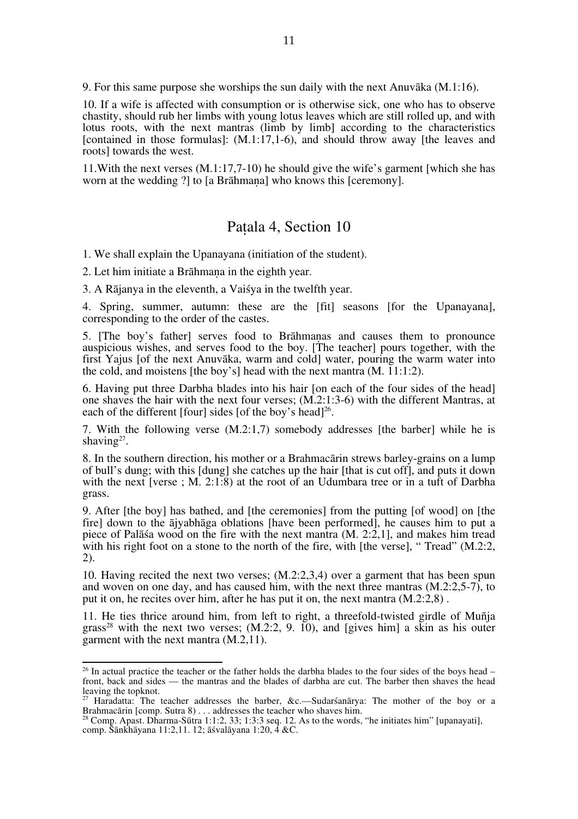9. For this same purpose she worships the sun daily with the next Anuvāka (M.1:16).

10. If a wife is affected with consumption or is otherwise sick, one who has to observe chastity, should rub her limbs with young lotus leaves which are still rolled up, and with lotus roots, with the next mantras (limb by limb] according to the characteristics [contained in those formulas]:  $(M.1:17,1-6)$ , and should throw away [the leaves and roots] towards the west.

11.With the next verses (M.1:17,7-10) he should give the wife's garment [which she has worn at the wedding ?] to [a Brāhmaṇa] who knows this [ceremony].

#### Paṭala 4, Section 10

1. We shall explain the Upanayana (initiation of the student).

2. Let him initiate a Brāhmana in the eighth year.

3. A Rājanya in the eleventh, a Vaiśya in the twelfth year.

4. Spring, summer, autumn: these are the [fit] seasons [for the Upanayana], corresponding to the order of the castes.

5. [The boy's father] serves food to Brāhmaṇas and causes them to pronounce auspicious wishes, and serves food to the boy. [The teacher] pours together, with the first Yajus [of the next Anuvāka, warm and cold] water, pouring the warm water into the cold, and moistens [the boy's] head with the next mantra  $(M, 11:1:2)$ .

6. Having put three Darbha blades into his hair [on each of the four sides of the head] one shaves the hair with the next four verses; (M.2:1:3-6) with the different Mantras, at each of the different [four] sides [of the boy's head]<sup>26</sup>.

7. With the following verse (M.2:1,7) somebody addresses [the barber] while he is shaving $27$ .

8. In the southern direction, his mother or a Brahmacārin strews barley-grains on a lump of bull's dung; with this [dung] she catches up the hair [that is cut off], and puts it down with the next [verse ; M. 2:1:8) at the root of an Udumbara tree or in a tuft of Darbha grass.

9. After [the boy] has bathed, and [the ceremonies] from the putting [of wood] on [the fire] down to the ājyabhāga oblations [have been performed], he causes him to put a piece of Palāśa wood on the fire with the next mantra (M. 2:2,1], and makes him tread with his right foot on a stone to the north of the fire, with [the verse], "Tread" (M.2:2, 2).

10. Having recited the next two verses; (M.2:2,3,4) over a garment that has been spun and woven on one day, and has caused him, with the next three mantras (M.2:2,5-7), to put it on, he recites over him, after he has put it on, the next mantra (M.2:2,8) .

11. He ties thrice around him, from left to right, a threefold-twisted girdle of Muñja grass<sup>28</sup> with the next two verses;  $(M.2:2, 9, 10)$ , and [gives him] a skin as his outer garment with the next mantra (M.2,11).

<sup>&</sup>lt;sup>26</sup> In actual practice the teacher or the father holds the darbha blades to the four sides of the boys head – front, back and sides — the mantras and the blades of darbha are cut. The barber then shaves the head leaving the topknot.

<sup>&</sup>lt;sup>27</sup> Haradatta: The teacher addresses the barber, &c.—Sudarsanarya: The mother of the boy or a Brahmacārin [comp. Sutra 8) . . . addresses the teacher who shaves him.<br><sup>28</sup> Comp. Apast. Dharma-Sūtra 1:1:2, 33; 1:3:3 seq. 12. As to the words, "he initiates him" [upanayati],

comp. Śānkhāyana 11:2,11. 12; āśvalāyana 1:20, 4 &C.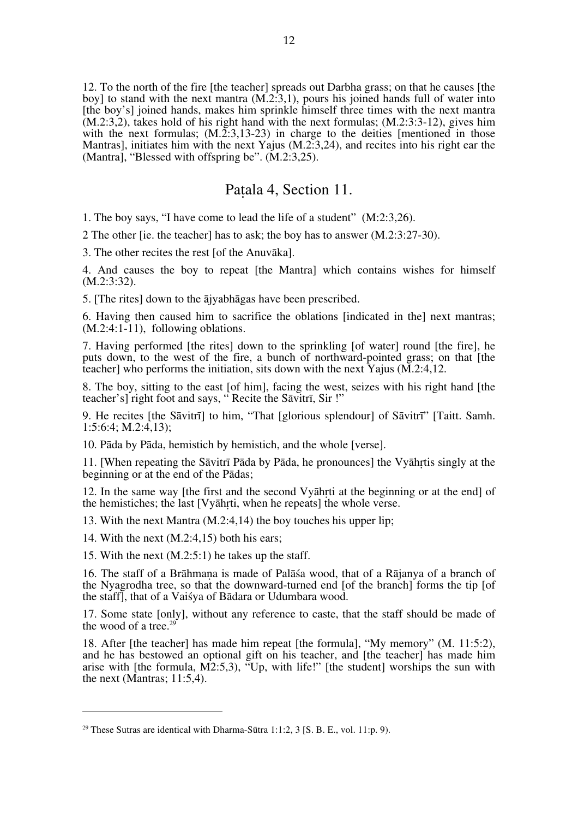12. To the north of the fire [the teacher] spreads out Darbha grass; on that he causes [the boy] to stand with the next mantra (M.2:3,1), pours his joined hands full of water into [the boy's] joined hands, makes him sprinkle himself three times with the next mantra  $(M.2:3,2)$ , takes hold of his right hand with the next formulas;  $(M.2:3:3-12)$ , gives him with the next formulas:  $(M<sub>1</sub>2:3.13-23)$  in charge to the deities [mentioned in those Mantras], initiates him with the next Yajus (M.2:3,24), and recites into his right ear the (Mantra), "Blessed with offspring be".  $(M.2:3.25)$ .

## Paṭala 4, Section 11.

1. The boy says, "I have come to lead the life of a student" (M:2:3,26).

2 The other [ie. the teacher] has to ask; the boy has to answer (M.2:3:27-30).

3. The other recites the rest [of the Anuvāka].

4. And causes the boy to repeat [the Mantra] which contains wishes for himself (M.2:3:32).

5. [The rites] down to the ājyabhāgas have been prescribed.

6. Having then caused him to sacrifice the oblations [indicated in the] next mantras; (M.2:4:1-11), following oblations.

7. Having performed [the rites] down to the sprinkling [of water] round [the fire], he puts down, to the west of the fire, a bunch of northward-pointed grass; on that [the teacher] who performs the initiation, sits down with the next Yajus (M.2:4,12.

8. The boy, sitting to the east [of him], facing the west, seizes with his right hand [the teacher's] right foot and says, " Recite the Sāvitrī, Sir !"

9. He recites [the Sāvitrī] to him, "That [glorious splendour] of Sāvitrī" [Taitt. Samh. 1:5:6:4; M.2:4,13);

10. Pāda by Pāda, hemistich by hemistich, and the whole [verse].

11. [When repeating the Sāvitrī Pāda by Pāda, he pronounces] the Vyāhṛtis singly at the beginning or at the end of the Pādas;

12. In the same way [the first and the second Vyāhṛti at the beginning or at the end] of the hemistiches; the last [Vyāhṛti, when he repeats] the whole verse.

13. With the next Mantra (M.2:4,14) the boy touches his upper lip;

14. With the next (M.2:4,15) both his ears;

 $\overline{a}$ 

15. With the next (M.2:5:1) he takes up the staff.

16. The staff of a Brāhmaṇa is made of Palāśa wood, that of a Rājanya of a branch of the Nyagrodha tree, so that the downward-turned end [of the branch] forms the tip [of the staff], that of a Vaiśya of Bādara or Udumbara wood.

17. Some state [only], without any reference to caste, that the staff should be made of the wood of a tree.<sup>29</sup>

18. After [the teacher] has made him repeat [the formula], "My memory" (M. 11:5:2), and he has bestowed an optional gift on his teacher, and [the teacher] has made him arise with [the formula, M2:5,3), "Up, with life!" [the student] worships the sun with the next (Mantras; 11:5,4).

<sup>&</sup>lt;sup>29</sup> These Sutras are identical with Dharma-Sūtra 1:1:2,  $3$  [S. B. E., vol. 11:p. 9).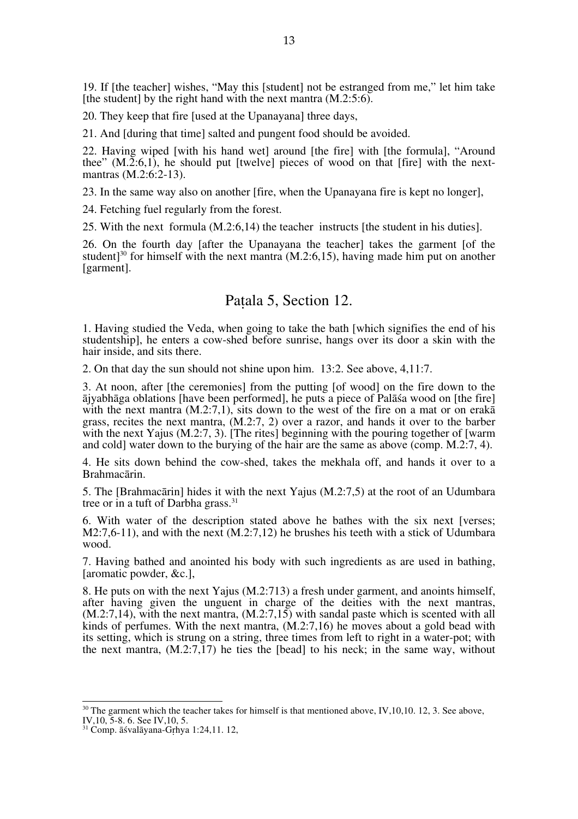19. If [the teacher] wishes, "May this [student] not be estranged from me," let him take [the student] by the right hand with the next mantra  $(M.2:5:6)$ .

20. They keep that fire [used at the Upanayana] three days,

21. And [during that time] salted and pungent food should be avoided.

22. Having wiped [with his hand wet] around [the fire] with [the formula], "Around thee"  $(M.\overline{2:6,1})$ , he should put [twelve] pieces of wood on that [fire] with the next-<br>mantras  $(M.2:6:2-13)$ .

23. In the same way also on another [fire, when the Upanayana fire is kept no longer],

24. Fetching fuel regularly from the forest.

25. With the next formula (M.2:6,14) the teacher instructs [the student in his duties].

26. On the fourth day [after the Upanayana the teacher] takes the garment [of the student<sup>[30</sup> for himself with the next mantra  $(M.2:6.15)$ , having made him put on another [garment].

#### Paṭala 5, Section 12.

1. Having studied the Veda, when going to take the bath [which signifies the end of his studentship], he enters a cow-shed before sunrise, hangs over its door a skin with the hair inside, and sits there.

2. On that day the sun should not shine upon him. 13:2. See above, 4,11:7.

3. At noon, after [the ceremonies] from the putting [of wood] on the fire down to the ājyabhāga oblations [have been performed], he puts a piece of Palāśa wood on [the fire] with the next mantra (M.2:7,1), sits down to the west of the fire on a mat or on eraka grass, recites the next mantra, (M.2:7, 2) over a razor, and hands it over to the barber with the next Yajus  $(M.2:7, 3)$ . [The rites] beginning with the pouring together of [warm] and cold] water down to the burying of the hair are the same as above (comp. M.2:7, 4).

4. He sits down behind the cow-shed, takes the mekhala off, and hands it over to a Brahmacārin.

5. The [Brahmacārin] hides it with the next Yajus (M.2:7,5) at the root of an Udumbara tree or in a tuft of Darbha grass.<sup>31</sup>

6. With water of the description stated above he bathes with the six next [verses;  $M2:7.6-11$ ), and with the next  $(M.2:7.12)$  he brushes his teeth with a stick of Udumbara wood.

7. Having bathed and anointed his body with such ingredients as are used in bathing, [aromatic powder, &c.].

8. He puts on with the next Yajus (M.2:713) a fresh under garment, and anoints himself, after having given the unguent in charge of the deities with the next mantras,  $(M.2:7.14)$ , with the next mantra,  $(M.2:7.15)$  with sandal paste which is scented with all kinds of perfumes. With the next mantra,  $(M.2:7.16)$  he moves about a gold bead with its setting, which is strung on a string, three times from left to right in a water-pot; with the next mantra,  $(M.2:7.17)$  he ties the [bead] to his neck; in the same way, without

<sup>&</sup>lt;sup>30</sup> The garment which the teacher takes for himself is that mentioned above, IV, 10, 10. 12, 3. See above, IV, 10, 5-8. 6. See IV, 10, 5.

 $31$  Comp.  $\bar{a}$ śvalāyana-Grhya 1:24,11. 12,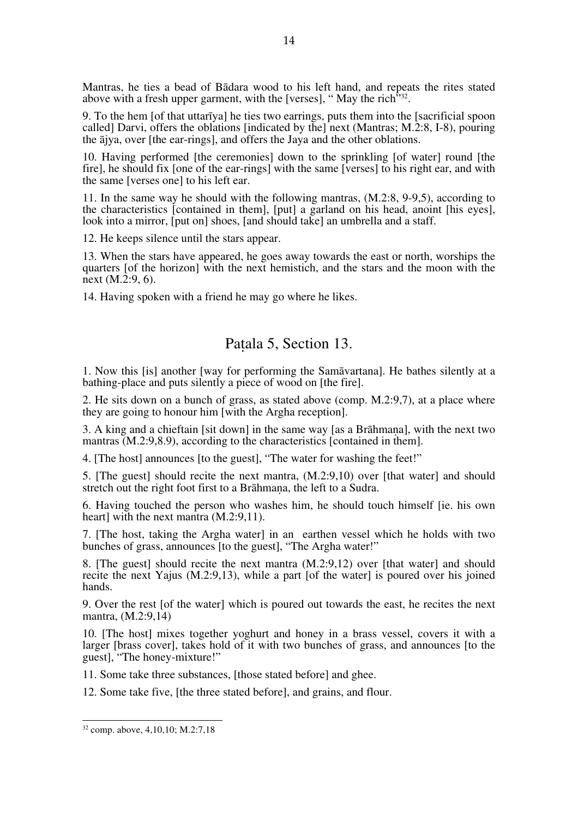Mantras, he ties a bead of Bādara wood to his left hand, and repeats the rites stated above with a fresh upper garment, with the [verses], "May the rich" $32$ .

9. To the hem [of that uttarīya] he ties two earrings, puts them into the [sacrificial spoon called] Darvi, offers the oblations [indicated by the] next (Mantras; M.2:8, I-8), pouring the ājya, over [the ear-rings], and offers the Jaya and the other oblations.

10. Having performed [the ceremonies] down to the sprinkling [of water] round [the fire], he should fix [one of the ear-rings] with the same [verses] to his right ear, and with the same [verses one] to his left ear.

11. In the same way he should with the following mantras, (M.2:8, 9-9,5), according to the characteristics [contained in them], [put] a garland on his head, anoint [his eyes], look into a mirror, [put on] shoes, [and should take] an umbrella and a staff.

12. He keeps silence until the stars appear.

13. When the stars have appeared, he goes away towards the east or north, worships the quarters [of the horizon] with the next hemistich, and the stars and the moon with the next (M.2:9, 6).

14. Having spoken with a friend he may go where he likes.

## Paṭala 5, Section 13.

1. Now this [is] another [way for performing the Samāvartana]. He bathes silently at a bathing-place and puts silently a piece of wood on [the fire].

2. He sits down on a bunch of grass, as stated above (comp. M.2:9,7), at a place where they are going to honour him [with the Argha reception].

3. A king and a chieftain [sit down] in the same way [as a Brāhmaṇa], with the next two mantras (M.2:9,8.9), according to the characteristics [contained in them].

4. [The host] announces [to the guest], "The water for washing the feet!"

5. [The guest] should recite the next mantra, (M.2:9,10) over [that water] and should stretch out the right foot first to a Brāhmana, the left to a Sudra.

6. Having touched the person who washes him, he should touch himself [ie. his own heart] with the next mantra  $(M.2:9,11)$ .

7. [The host, taking the Argha water] in an earthen vessel which he holds with two bunches of grass, announces [to the guest], "The Argha water!"

8. [The guest] should recite the next mantra (M.2:9,12) over [that water] and should recite the next Yajus (M.2:9,13), while a part [of the water] is poured over his joined hands.

9. Over the rest [of the water] which is poured out towards the east, he recites the next mantra, (M.2:9,14)

10. [The host] mixes together yoghurt and honey in a brass vessel, covers it with a larger [brass cover], takes hold of it with two bunches of grass, and announces [to the guest], "The honey-mixture!"

11. Some take three substances, [those stated before] and ghee.

12. Some take five, [the three stated before], and grains, and flour.

32 comp. above, 4,10,10; M.2:7,18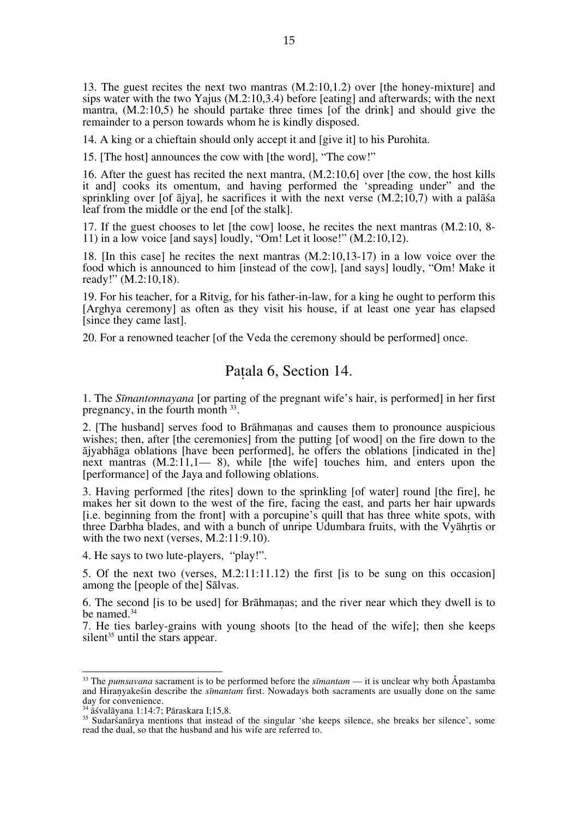13. The guest recites the next two mantras (M.2:10,1.2) over [the honey-mixture] and sips water with the two Yajus (M.2:10,3.4) before [eating] and afterwards; with the next mantra, (M.2:10,5) he should partake three times [of the drink] and should give the remainder to a person towards whom he is kindly disposed.

14. A king or a chieftain should only accept it and [give it] to his Purohita.

15. [The host] announces the cow with [the word], "The cow!"

16. After the guest has recited the next mantra, (M.2:10,6] over [the cow, the host kills it and] cooks its omentum, and having performed the 'spreading under" and the sprinkling over [of  $\bar{a}$ jya], he sacrifices it with the next verse (M.2;10,7) with a pal $\bar{a}$ sa leaf from the middle or the end [of the stalk].

17. If the guest chooses to let [the cow] loose, he recites the next mantras (M.2:10, 8- 11) in a low voice [and says] loudly, "Om! Let it loose!" (M.2:10,12).

18. [In this case] he recites the next mantras (M.2:10,13-17) in a low voice over the food which is announced to him [instead of the cow], [and says] loudly, "Om! Make it ready!" (M.2:10,18).

19. For his teacher, for a Ritvig, for his father-in-law, for a king he ought to perform this [Arghya ceremony] as often as they visit his house, if at least one year has elapsed [since they came last].

20. For a renowned teacher [of the Veda the ceremony should be performed] once.

#### Paṭala 6, Section 14.

1. The *Sīmantonnayana* [or parting of the pregnant wife's hair, is performed] in her first pregnancy, in the fourth month 33.

2. [The husband] serves food to Brāhmaṇas and causes them to pronounce auspicious wishes; then, after [the ceremonies] from the putting [of wood] on the fire down to the ājyabhāga oblations [have been performed], he offers the oblations [indicated in the] next mantras  $(M.2:11,1)$  – 8), while [the wife] touches him, and enters upon the [performance] of the Jaya and following oblations.

3. Having performed [the rites] down to the sprinkling [of water] round [the fire], he makes her sit down to the west of the fire, facing the east, and parts her hair upwards [i.e. beginning from the front] with a porcupine's quill that has three white spots, with three Darbha blades, and with a bunch of unripe Udumbara fruits, with the Vyāhṛtis or with the two next (verses, M.2:11:9.10).

4. He says to two lute-players, "play!".

5. Of the next two (verses, M.2:11:11.12) the first [is to be sung on this occasion] among the [people of the] Sālvas.

6. The second [is to be used] for Brāhmaṇas; and the river near which they dwell is to be named.<sup>34</sup>

7. He ties barley-grains with young shoots [to the head of the wife]; then she keeps silent<sup>35</sup> until the stars appear.

33 The *pumsavana* sacrament is to be performed before the *sīmantam* — it is unclear why both Åpastamba and Hiraṇyakeśin describe the *sīmantam* first. Nowadays both sacraments are usually done on the same day for convenience.<br><sup>34</sup> āśvalāyana 1:14:7; Pāraskara I;15,8.

<sup>&</sup>lt;sup>35</sup> Sudarśanārya mentions that instead of the singular 'she keeps silence, she breaks her silence', some read the dual, so that the husband and his wife are referred to.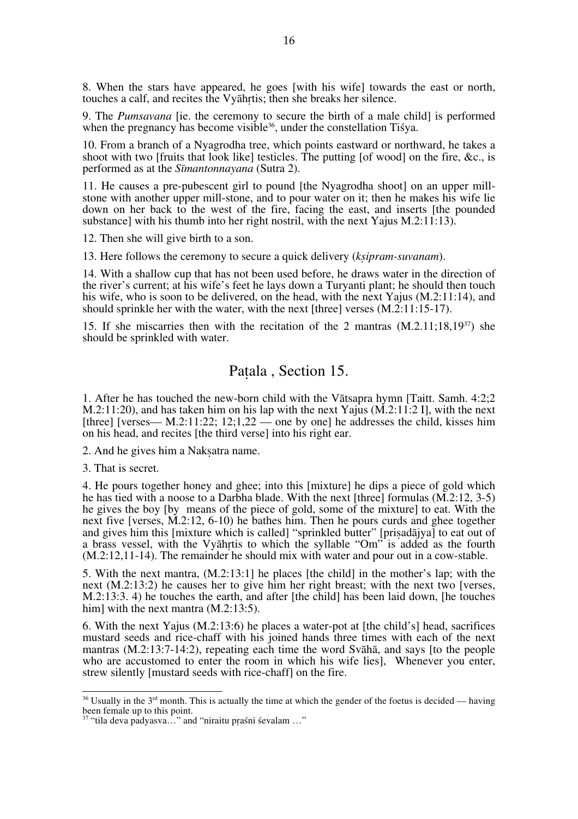8. When the stars have appeared, he goes [with his wife] towards the east or north, touches a calf, and recites the Vyāhṛtis; then she breaks her silence.

9. The *Pumsavana* [ie. the ceremony to secure the birth of a male child] is performed when the pregnancy has become visible<sup>36</sup>, under the constellation Tisya.

10. From a branch of a Nyagrodha tree, which points eastward or northward, he takes a shoot with two [fruits that look like] testicles. The putting [of wood] on the fire, &c., is performed as at the *Sīmantonnayana* (Sutra 2).

11. He causes a pre-pubescent girl to pound [the Nyagrodha shoot] on an upper mill- stone with another upper mill-stone, and to pour water on it; then he makes his wife lie down on her back to the west of the fire, facing the east, and inserts [the pounded substance] with his thumb into her right nostril, with the next Yajus M.2:11:13).

12. Then she will give birth to a son.

13. Here follows the ceremony to secure a quick delivery (*kṣipram-suvanam*).

14. With a shallow cup that has not been used before, he draws water in the direction of the river's current; at his wife's feet he lays down a Turyanti plant; he should then touch his wife, who is soon to be delivered, on the head, with the next Yajus (M.2:11:14), and should sprinkle her with the water, with the next [three] verses  $(M.2:11:15-17)$ .

15. If she miscarries then with the recitation of the 2 mantras  $(M.2.11:18.19<sup>37</sup>)$  she should be sprinkled with water.

#### Paṭala , Section 15.

1. After he has touched the new-born child with the Vātsapra hymn [Taitt. Samh. 4:2;2 M.2:11:20), and has taken him on his lap with the next Yajus (M.2:11:2 I], with the next [three] [verses— M.2:11:22; 12:1,22 — one by one] he addresses the child, kisses him on his head, and recites [the third verse] into his right ear.

2. And he gives him a Nakṣatra name.

3. That is secret.

4. He pours together honey and ghee; into this [mixture] he dips a piece of gold which he has tied with a noose to a Darbha blade. With the next [three] formulas (M.2:12, 3-5) he gives the boy [by means of the piece of gold, some of the mixture] to eat. With the next five [verses, M.2:12, 6-10) he bathes him. Then he pours curds and ghee together and gives him this [mixture which is called] "sprinkled butter" [priṣadājya] to eat out of a brass vessel, with the Vyāhṛtis to which the syllable "Om" is added as the fourth (M.2:12,11-14). The remainder he should mix with water and pour out in a cow-stable.

5. With the next mantra, (M.2:13:1] he places [the child] in the mother's lap; with the next (M.2:13:2) he causes her to give him her right breast; with the next two [verses, M.2:13:3. 4) he touches the earth, and after [the child] has been laid down, [he touches him] with the next mantra (M.2:13:5).

6. With the next Yajus (M.2:13:6) he places a water-pot at [the child's] head, sacrifices mustard seeds and rice-chaff with his joined hands three times with each of the next mantras (M.2:13:7-14:2), repeating each time the word Svāhā, and says [to the people who are accustomed to enter the room in which his wife lies], Whenever you enter, strew silently [mustard seeds with rice-chaff] on the fire.

 $36$  Usually in the  $3<sup>rd</sup>$  month. This is actually the time at which the gender of the foetus is decided — having been female up to this point.

<sup>37 &</sup>quot;tila deva padyasva…" and "niraitu pṛaśni śevalam …"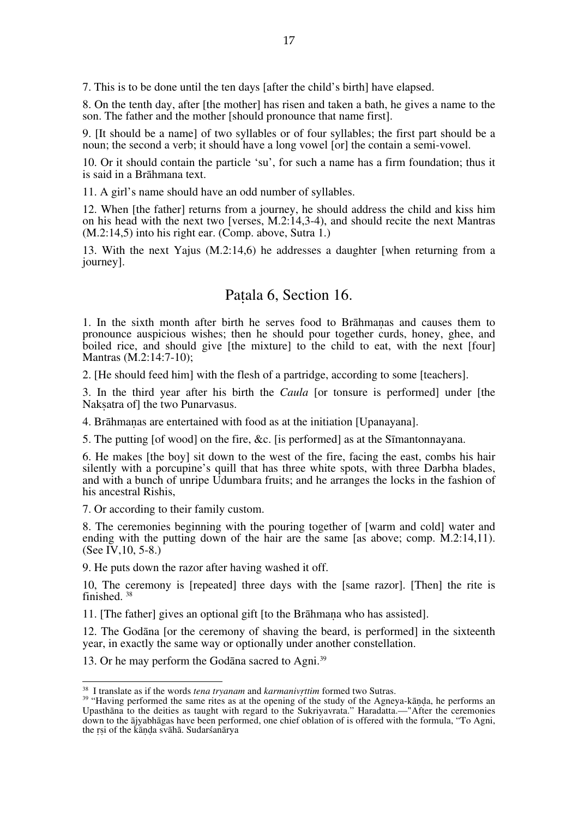7. This is to be done until the ten days [after the child's birth] have elapsed.

8. On the tenth day, after [the mother] has risen and taken a bath, he gives a name to the son. The father and the mother [should pronounce that name first].

9. [It should be a name] of two syllables or of four syllables; the first part should be a noun; the second a verb; it should have a long vowel [or] the contain a semi-vowel.

10. Or it should contain the particle 'su', for such a name has a firm foundation; thus it is said in a Brāhmana text.

11. A girl's name should have an odd number of syllables.

12. When [the father] returns from a journey, he should address the child and kiss him on his head with the next two [verses, M.2:14,3-4), and should recite the next Mantras (M.2:14,5) into his right ear. (Comp. above, Sutra 1.)

13. With the next Yajus (M.2:14,6) he addresses a daughter [when returning from a journey].

## Paṭala 6, Section 16.

1. In the sixth month after birth he serves food to Brāhmaṇas and causes them to pronounce auspicious wishes; then he should pour together curds, honey, ghee, and boiled rice, and should give [the mixture] to the child to eat, with the next [four] Mantras (M.2:14:7-10);

2. [He should feed him] with the flesh of a partridge, according to some [teachers].

3. In the third year after his birth the *Caula* [or tonsure is performed] under [the Naksatra of the two Punarvasus.

4. Brāhmaṇas are entertained with food as at the initiation [Upanayana].

5. The putting [of wood] on the fire, &c. [is performed] as at the Sīmantonnayana.

6. He makes [the boy] sit down to the west of the fire, facing the east, combs his hair silently with a porcupine's quill that has three white spots, with three Darbha blades, and with a bunch of unripe Udumbara fruits; and he arranges the locks in the fashion of his ancestral Rishis,

7. Or according to their family custom.

8. The ceremonies beginning with the pouring together of [warm and cold] water and ending with the putting down of the hair are the same [as above; comp. M.2:14,11). (See IV,  $10, 5-8.$ )

9. He puts down the razor after having washed it off.

10, The ceremony is [repeated] three days with the [same razor]. [Then] the rite is finished. 38

11. [The father] gives an optional gift [to the Brāhmaṇa who has assisted].

12. The Godāna [or the ceremony of shaving the beard, is performed] in the sixteenth year, in exactly the same way or optionally under another constellation.

13. Or he may perform the Godāna sacred to Agni.<sup>39</sup>

<sup>&</sup>lt;sup>38</sup> I translate as if the words *tena tryanam* and *karmanivrttim* formed two Sutras.<br><sup>39</sup> "Having performed the same rites as at the opening of the study of the Agneya-kāṇḍa, he performs an Upasthāna to the deities as taught with regard to the Sukriyavrata." Haradatta.—"After the ceremonies down to the ājyabhāgas have been performed, one chief oblation of is offered with the formula, "To Agni, the rsi of the kānda svāhā. Sudarśanārya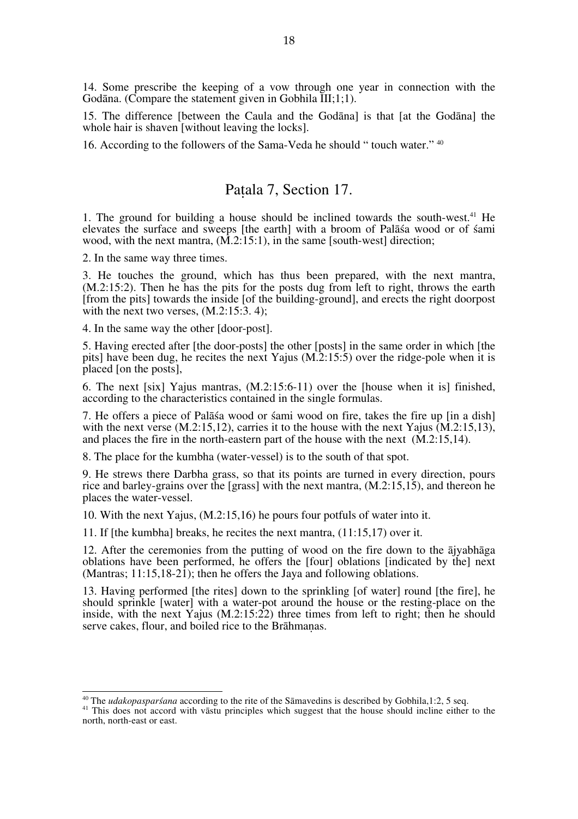14. Some prescribe the keeping of a vow through one year in connection with the Godāna. (Compare the statement given in Gobhila III;1;1).

15. The difference [between the Caula and the Godāna] is that [at the Godāna] the whole hair is shaven [without leaving the locks].

16. According to the followers of the Sama-Veda he should " touch water." 40

## Paṭala 7, Section 17.

1. The ground for building a house should be inclined towards the south-west.41 He elevates the surface and sweeps [the earth] with a broom of Palāśa wood or of śami wood, with the next mantra,  $(M.2:15:1)$ , in the same [south-west] direction;

2. In the same way three times.

3. He touches the ground, which has thus been prepared, with the next mantra, (M.2:15:2). Then he has the pits for the posts dug from left to right, throws the earth [from the pits] towards the inside [of the building-ground], and erects the right doorpost with the next two verses,  $(M.2:15:3, 4)$ ;

4. In the same way the other [door-post].

5. Having erected after [the door-posts] the other [posts] in the same order in which [the pits] have been dug, he recites the next Yajus  $(M<sub>1</sub>2:15:5)$  over the ridge-pole when it is placed [on the posts],

6. The next [six] Yajus mantras, (M.2:15:6-11) over the [house when it is] finished, according to the characteristics contained in the single formulas.

7. He offers a piece of Palāśa wood or śami wood on fire, takes the fire up [in a dish] with the next verse (M.2:15,12), carries it to the house with the next Yajus (M.2:15,13), and places the fire in the north-eastern part of the house with the next  $(M.2:15.14)$ .

8. The place for the kumbha (water-vessel) is to the south of that spot.

9. He strews there Darbha grass, so that its points are turned in every direction, pours rice and barley-grains over the [grass] with the next mantra, (M.2:15,15), and thereon he places the water-vessel.

10. With the next Yajus, (M.2:15,16) he pours four potfuls of water into it.

11. If [the kumbha] breaks, he recites the next mantra,  $(11:15.17)$  over it.

12. After the ceremonies from the putting of wood on the fire down to the ājyabhāga oblations have been performed, he offers the [four] oblations [indicated by the] next (Mantras;  $11:15.18-21$ ); then he offers the Java and following oblations.

13. Having performed [the rites] down to the sprinkling [of water] round [the fire], he should sprinkle [water] with a water-pot around the house or the resting-place on the inside, with the next Yajus  $(M.2:15:22)$  three times from left to right; then he should serve cakes, flour, and boiled rice to the Brāhmaṇas.

<sup>&</sup>lt;sup>40</sup> The *udakopasparśana* according to the rite of the Sāmavedins is described by Gobhila,1:2, 5 seq. <sup>41</sup> This does not accord with vāstu principles which suggest that the house should incline either to the north, north-east or east.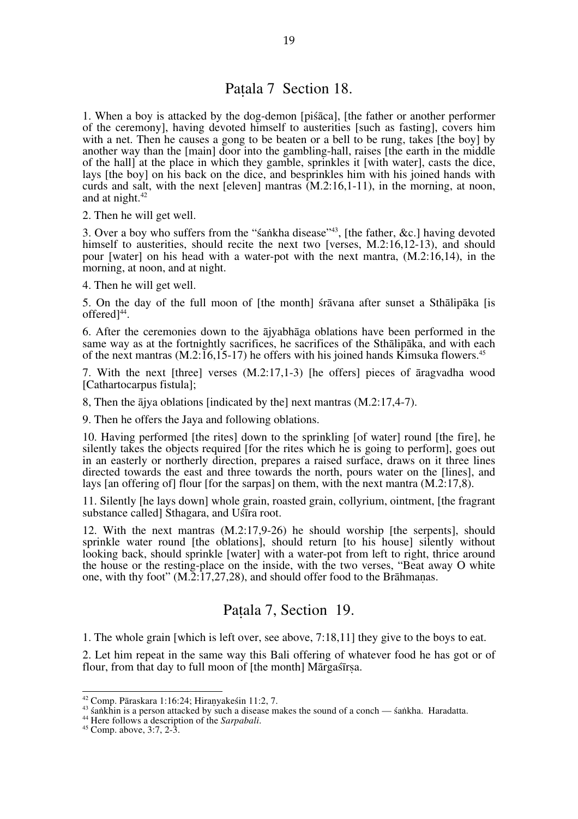## Paṭala 7 Section 18.

1. When a boy is attacked by the dog-demon [piśāca], [the father or another performer of the ceremony], having devoted himself to austerities [such as fasting], covers him with a net. Then he causes a gong to be beaten or a bell to be rung, takes [the boy] by another way than the [main] door into the gambling-hall, raises [the earth in the middle of the hall] at the place in which they gamble, sprinkles it [with water], casts the dice, lays [the boy] on his back on the dice, and besprinkles him with his joined hands with curds and salt, with the next [eleven] mantras (M.2:16,1-11), in the morning, at noon, and at night.<sup>42</sup>

2. Then he will get well.

3. Over a boy who suffers from the "śaṅkha disease"43, [the father, &c.] having devoted himself to austerities, should recite the next two [verses, M.2:16,12-13), and should pour [water] on his head with a water-pot with the next mantra, (M.2:16,14), in the morning, at noon, and at night.

4. Then he will get well.

5. On the day of the full moon of [the month] śrāvana after sunset a Sthālipāka [is offered<sup>144</sup>.

6. After the ceremonies down to the ājyabhāga oblations have been performed in the same way as at the fortnightly sacrifices, he sacrifices of the Sthālipāka, and with each of the next mantras  $(M.2:16,15-17)$  he offers with his joined hands Kimsuka flowers.<sup>45</sup>

7. With the next [three] verses (M.2:17,1-3) [he offers] pieces of āragvadha wood [Cathartocarpus fistula];

8, Then the ājya oblations [indicated by the] next mantras (M.2:17,4-7).

9. Then he offers the Jaya and following oblations.

10. Having performed [the rites] down to the sprinkling [of water] round [the fire], he silently takes the objects required [for the rites which he is going to perform], goes out in an easterly or northerly direction, prepares a raised surface, draws on it three lines directed towards the east and three towards the north, pours water on the [lines], and lays [an offering of] flour [for the sarpas] on them, with the next mantra (M.2:17,8).

11. Silently [he lays down] whole grain, roasted grain, collyrium, ointment, [the fragrant substance called] Sthagara, and Uśīra root.

12. With the next mantras (M.2:17,9-26) he should worship [the serpents], should sprinkle water round [the oblations], should return [to his house] silently without looking back, should sprinkle [water] with a water-pot from left to right, thrice around the house or the resting-place on the inside, with the two verses, "Beat away O white one, with thy foot" (M.2:17,27,28), and should offer food to the Brāhmaṇas.

## Paṭala 7, Section 19.

1. The whole grain [which is left over, see above, 7:18,11] they give to the boys to eat.

2. Let him repeat in the same way this Bali offering of whatever food he has got or of flour, from that day to full moon of [the month] Mārgaśīrsa.

<sup>&</sup>lt;sup>42</sup> Comp. Pāraskara 1:16:24; Hiranyakesin 11:2, 7.<br><sup>43</sup> śankhin is a person attacked by such a disease makes the sound of a conch — śankha. Haradatta.<br><sup>44</sup> Here follows a description of the *Sarpabali*.<br><sup>45</sup> Comp. above,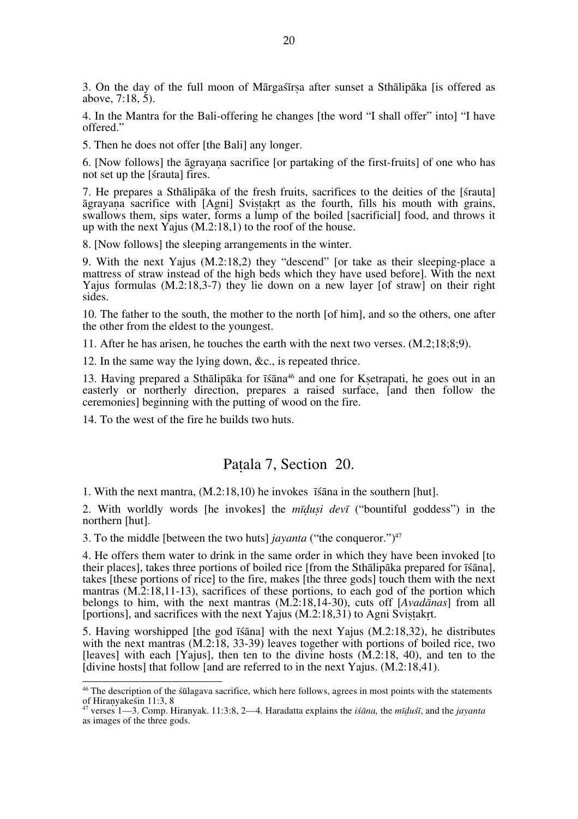3. On the day of the full moon of Mārgaśīrṣa after sunset a Sthālipāka [is offered as above,  $7:18, 5$ ).

4. In the Mantra for the Bali-offering he changes [the word "I shall offer" into] "I have offered."

5. Then he does not offer [the Bali] any longer.

6. [Now follows] the āgrayaṇa sacrifice [or partaking of the first-fruits] of one who has not set up the [śrauta] fires.

7. He prepares a Sthālipāka of the fresh fruits, sacrifices to the deities of the [śrauta] āgrayaṇa sacrifice with [Agni] Sviṣṭakṛt as the fourth, fills his mouth with grains, swallows them, sips water, forms a lump of the boiled [sacrificial] food, and throws it up with the next Yajus (M.2:18,1) to the roof of the house.

8. [Now follows] the sleeping arrangements in the winter.

9. With the next Yajus (M.2:18,2) they "descend" [or take as their sleeping-place a mattress of straw instead of the high beds which they have used before]. With the next Yajus formulas (M.2:18,3-7) they lie down on a new layer [of straw] on their right sides.

10. The father to the south, the mother to the north [of him], and so the others, one after the other from the eldest to the youngest.

11. After he has arisen, he touches the earth with the next two verses. (M.2;18;8;9).

12. In the same way the lying down, &c., is repeated thrice.

13. Having prepared a Sthālipāka for īśāna<sup>46</sup> and one for Ksetrapati, he goes out in an easterly or northerly direction, prepares a raised surface, fand then follow the ceremonies] beginning with the putting of wood on the fire.

14. To the west of the fire he builds two huts.

#### Paṭala 7, Section 20.

1. With the next mantra, (M.2:18,10) he invokes īśāna in the southern [hut].

2. With worldly words [he invokes] the *mīḍuṣi devī* ("bountiful goddess") in the northern [hut].

3. To the middle [between the two huts] *jayanta* ("the conqueror.")47

4. He offers them water to drink in the same order in which they have been invoked [to their places], takes three portions of boiled rice [from the Sthālipāka prepared for īśāna], takes [these portions of rice] to the fire, makes [the three gods] touch them with the next mantras (M.2:18,11-13), sacrifices of these portions, to each god of the portion which belongs to him, with the next mantras (M.2:18,14-30), cuts off [*Avadānas*] from all [portions], and sacrifices with the next Yajus  $(M.2:18.31)$  to Agni Svistakrt.

5. Having worshipped [the god īśāna] with the next Yajus (M.2:18,32), he distributes with the next mantras  $(M.2:18, 33-39)$  leaves together with portions of boiled rice, two [leaves] with each [Yajus], then ten to the divine hosts  $(M.2:18, 40)$ , and ten to the  $\overline{a}$  [divine hosts] that follow  $\overline{a}$  and are referred to in the next Yajus.  $(M.2:18.41)$ .

<sup>&</sup>lt;sup>46</sup> The description of the sulagava sacrifice, which here follows, agrees in most points with the statements of Hiranyakesin  $11:3, 8$ 

of Hiraṇyakeśin 11:3, 8 47 verses 1—3. Comp. Hiranyak. 11:3:8, 2—4. Haradatta explains the *iśāna,* the *mīḍuśī*, and the *jayanta* as images of the three gods.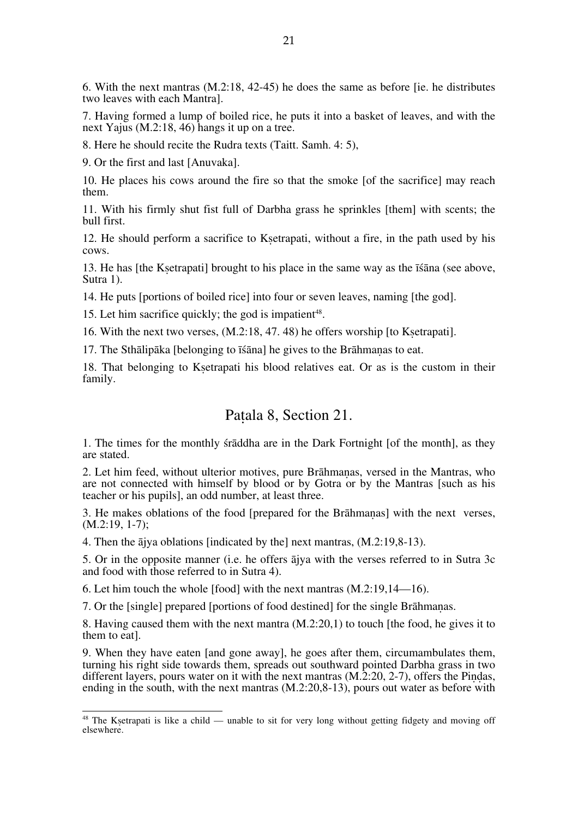6. With the next mantras (M.2:18, 42-45) he does the same as before [ie. he distributes two leaves with each Mantra].

7. Having formed a lump of boiled rice, he puts it into a basket of leaves, and with the next Yajus (M.2:18, 46) hangs it up on a tree.

8. Here he should recite the Rudra texts (Taitt. Samh. 4: 5),

9. Or the first and last [Anuvaka].

10. He places his cows around the fire so that the smoke [of the sacrifice] may reach them.

11. With his firmly shut fist full of Darbha grass he sprinkles [them] with scents; the bull first.

12. He should perform a sacrifice to Ksetrapati, without a fire, in the path used by his cows.

13. He has [the Kṣetrapati] brought to his place in the same way as the īśāna (see above, Sutra 1).

14. He puts [portions of boiled rice] into four or seven leaves, naming [the god].

15. Let him sacrifice quickly; the god is impatient<sup>48</sup>.

16. With the next two verses, (M.2:18, 47. 48) he offers worship [to Kṣetrapati].

17. The Sthālipāka [belonging to īśāna] he gives to the Brāhmaṇas to eat.

18. That belonging to Kṣetrapati his blood relatives eat. Or as is the custom in their family.

## Paṭala 8, Section 21.

1. The times for the monthly śrāddha are in the Dark Fortnight [of the month], as they are stated.

2. Let him feed, without ulterior motives, pure Brāhmaṇas, versed in the Mantras, who are not connected with himself by blood or by Gotra or by the Mantras [such as his teacher or his pupils], an odd number, at least three.

3. He makes oblations of the food [prepared for the Brāhmaṇas] with the next verses, (M.2:19, 1-7);

4. Then the ājya oblations [indicated by the] next mantras, (M.2:19,8-13).

5. Or in the opposite manner (i.e. he offers ājya with the verses referred to in Sutra 3c and food with those referred to in Sutra 4).

6. Let him touch the whole [food] with the next mantras  $(M.2:19,14-16)$ .

7. Or the [single] prepared [portions of food destined] for the single Brāhmaṇas.

8. Having caused them with the next mantra (M.2:20,1) to touch [the food, he gives it to them to eat].

9. When they have eaten [and gone away], he goes after them, circumambulates them, turning his right side towards them, spreads out southward pointed Darbha grass in two different layers, pours water on it with the next mantras  $(M.2:20, 2-7)$ , offers the Pindas, ending in the south, with the next mantras (M.2:20,8-13), pours out water as before with

<sup>&</sup>lt;sup>48</sup> The Ksetrapati is like a child — unable to sit for very long without getting fidgety and moving off elsewhere.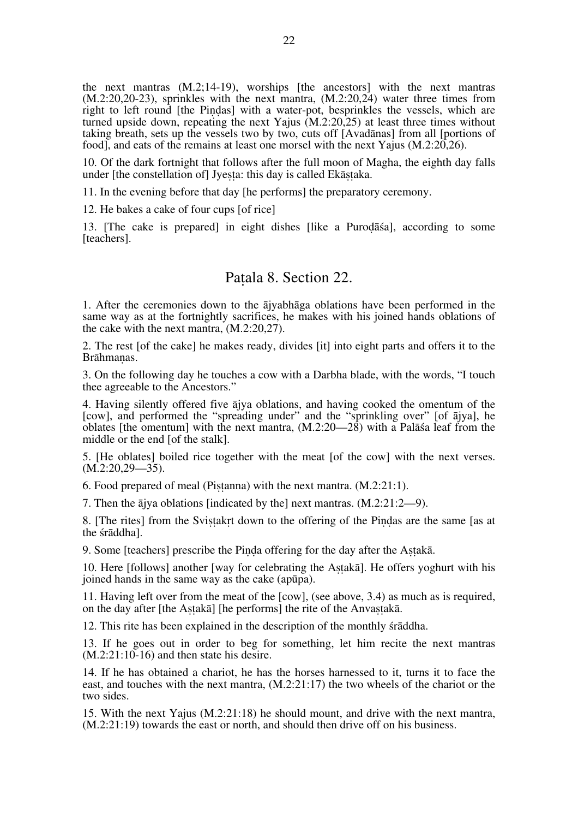the next mantras (M.2;14-19), worships [the ancestors] with the next mantras (M.2:20,20-23), sprinkles with the next mantra, (M.2:20,24) water three times from right to left round [the Piṇḍas] with a water-pot, besprinkles the vessels, which are turned upside down, repeating the next Yajus (M.2:20,25) at least three times without taking breath, sets up the vessels two by two, cuts off [Avadānas] from all [portions of food], and eats of the remains at least one morsel with the next Yajus (M.2:20,26).

10. Of the dark fortnight that follows after the full moon of Magha, the eighth day falls under [the constellation of] Jyesta: this day is called Ekāstaka.

11. In the evening before that day [he performs] the preparatory ceremony.

12. He bakes a cake of four cups [of rice]

13. [The cake is prepared] in eight dishes [like a Puroḍāśa], according to some [teachers].

#### Paṭala 8. Section 22.

1. After the ceremonies down to the ājyabhāga oblations have been performed in the same way as at the fortnightly sacrifices, he makes with his joined hands oblations of the cake with the next mantra, (M.2:20,27).

2. The rest [of the cake] he makes ready, divides [it] into eight parts and offers it to the Brāhmaṇas.

3. On the following day he touches a cow with a Darbha blade, with the words, "I touch thee agreeable to the Ancestors."

4. Having silently offered five ājya oblations, and having cooked the omentum of the [cow], and performed the "spreading under" and the "sprinkling over" [of ājya], he oblates [the omentum] with the next mantra, (M.2:20—28) with a Palāśa leaf from the middle or the end [of the stalk].

5. [He oblates] boiled rice together with the meat [of the cow] with the next verses.  $(M.2:20.29 - 35)$ .

6. Food prepared of meal (Piṣṭanna) with the next mantra. (M.2:21:1).

7. Then the ājya oblations [indicated by the] next mantras. (M.2:21:2—9).

8. [The rites] from the Svistakrt down to the offering of the Pindas are the same [as at the śrāddha].

9. Some [teachers] prescribe the Pinda offering for the day after the Astaka.

10. Here [follows] another [way for celebrating the Aṣṭakā]. He offers yoghurt with his joined hands in the same way as the cake (apūpa).

11. Having left over from the meat of the [cow], (see above, 3.4) as much as is required, on the day after [the Astakā] [he performs] the rite of the Anvastakā.

12. This rite has been explained in the description of the monthly śrāddha.

13. If he goes out in order to beg for something, let him recite the next mantras  $(M.2:21:10-16)$  and then state his desire.

14. If he has obtained a chariot, he has the horses harnessed to it, turns it to face the east, and touches with the next mantra, (M.2:21:17) the two wheels of the chariot or the two sides.

15. With the next Yajus (M.2:21:18) he should mount, and drive with the next mantra, (M.2:21:19) towards the east or north, and should then drive off on his business.